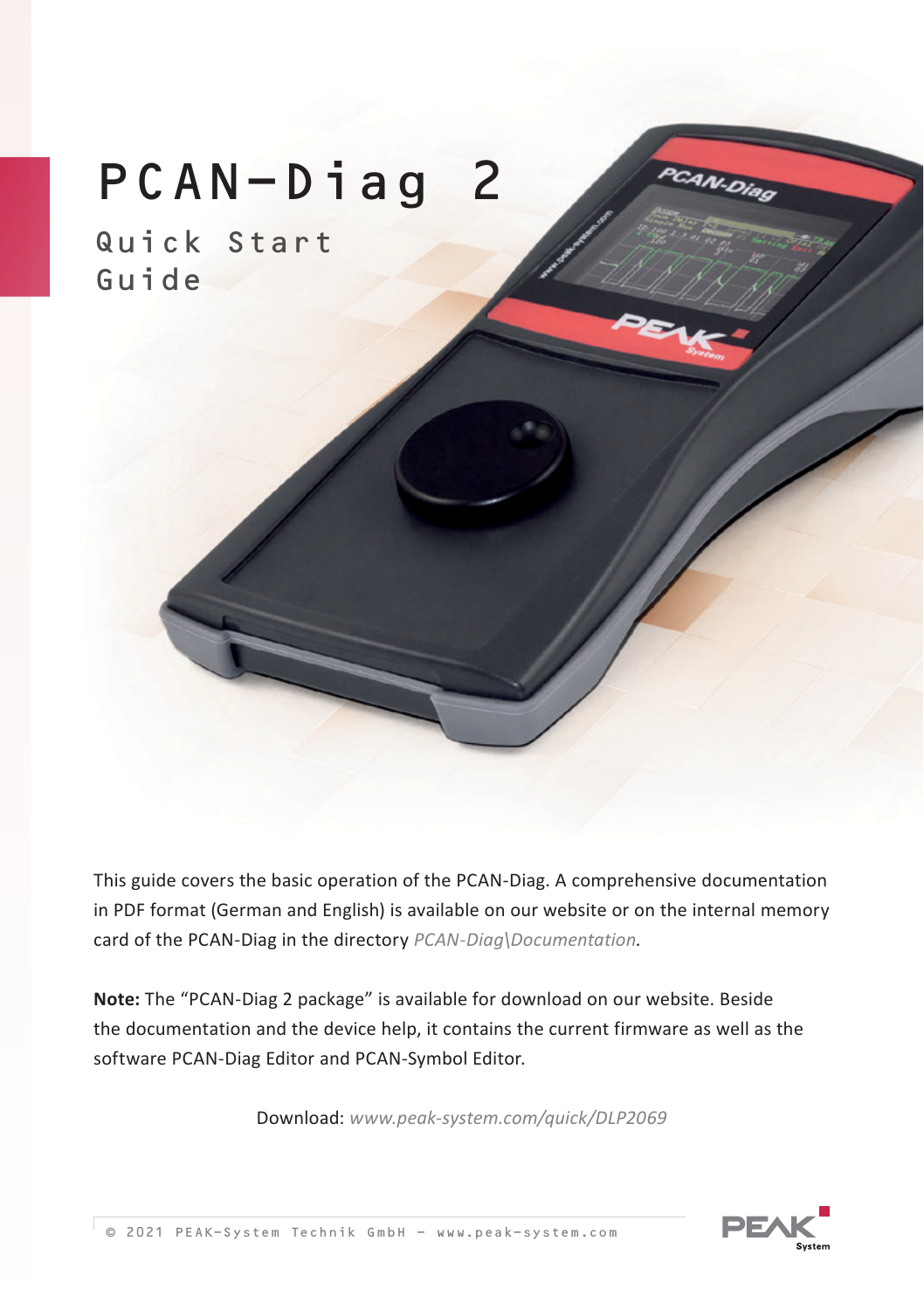# PCAN-Diag 2

Quick Start Guide

This guide covers the basic operation of the PCAN-Diag. A comprehensive documentation in PDF format (German and English) is available on our website or on the internal memory card of the PCAN-Diag in the directory *PCAN-Diag\Documentation.*

**Note:** The "PCAN-Diag 2 package" is available for download on our website. Beside the documentation and the device help, it contains the current firmware as well as the software PCAN-Diag Editor and PCAN-Symbol Editor.

Download: *www.peak-system.com/quick/DLP2069*



PCAN-Diag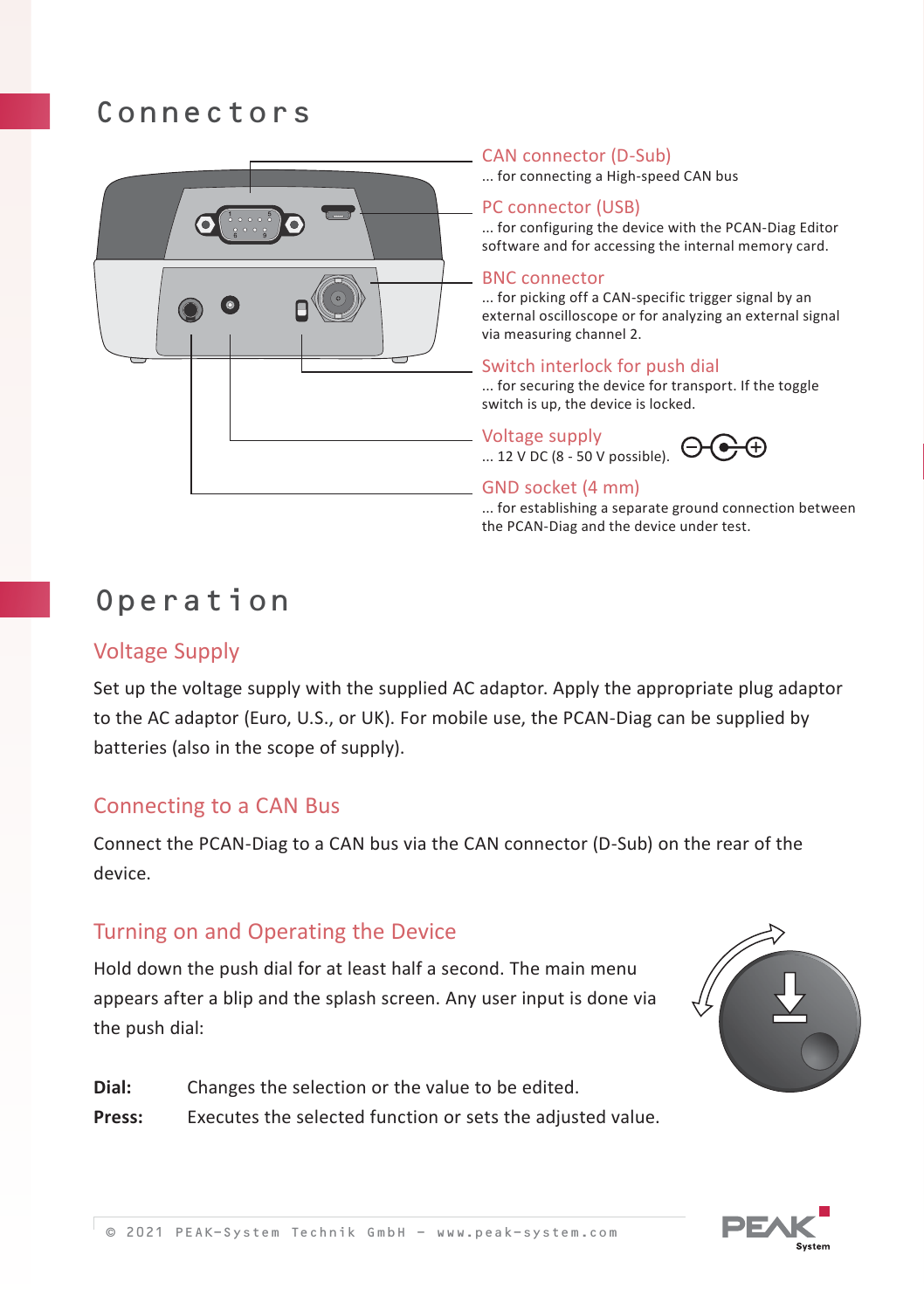## Connectors



#### CAN connector (D-Sub)

... for connecting a High-speed CAN bus

#### PC connector (USB)

... for configuring the device with the PCAN-Diag Editor software and for accessing the internal memory card.

#### BNC connector

... for picking off a CAN-specific trigger signal by an external oscilloscope or for analyzing an external signal via measuring channel 2.

#### Switch interlock for push dial

... for securing the device for transport. If the toggle switch is up, the device is locked.

Voltage supply ... 12 V DC (8 - 50 V possible).

#### GND socket (4 mm)

... for establishing a separate ground connection between the PCAN-Diag and the device under test.

# Operation

#### Voltage Supply

Set up the voltage supply with the supplied AC adaptor. Apply the appropriate plug adaptor to the AC adaptor (Euro, U.S., or UK). For mobile use, the PCAN-Diag can be supplied by batteries (also in the scope of supply).

#### Connecting to a CAN Bus

Connect the PCAN-Diag to a CAN bus via the CAN connector (D-Sub) on the rear of the device.

#### Turning on and Operating the Device

Hold down the push dial for at least half a second. The main menu appears after a blip and the splash screen. Any user input is done via the push dial:





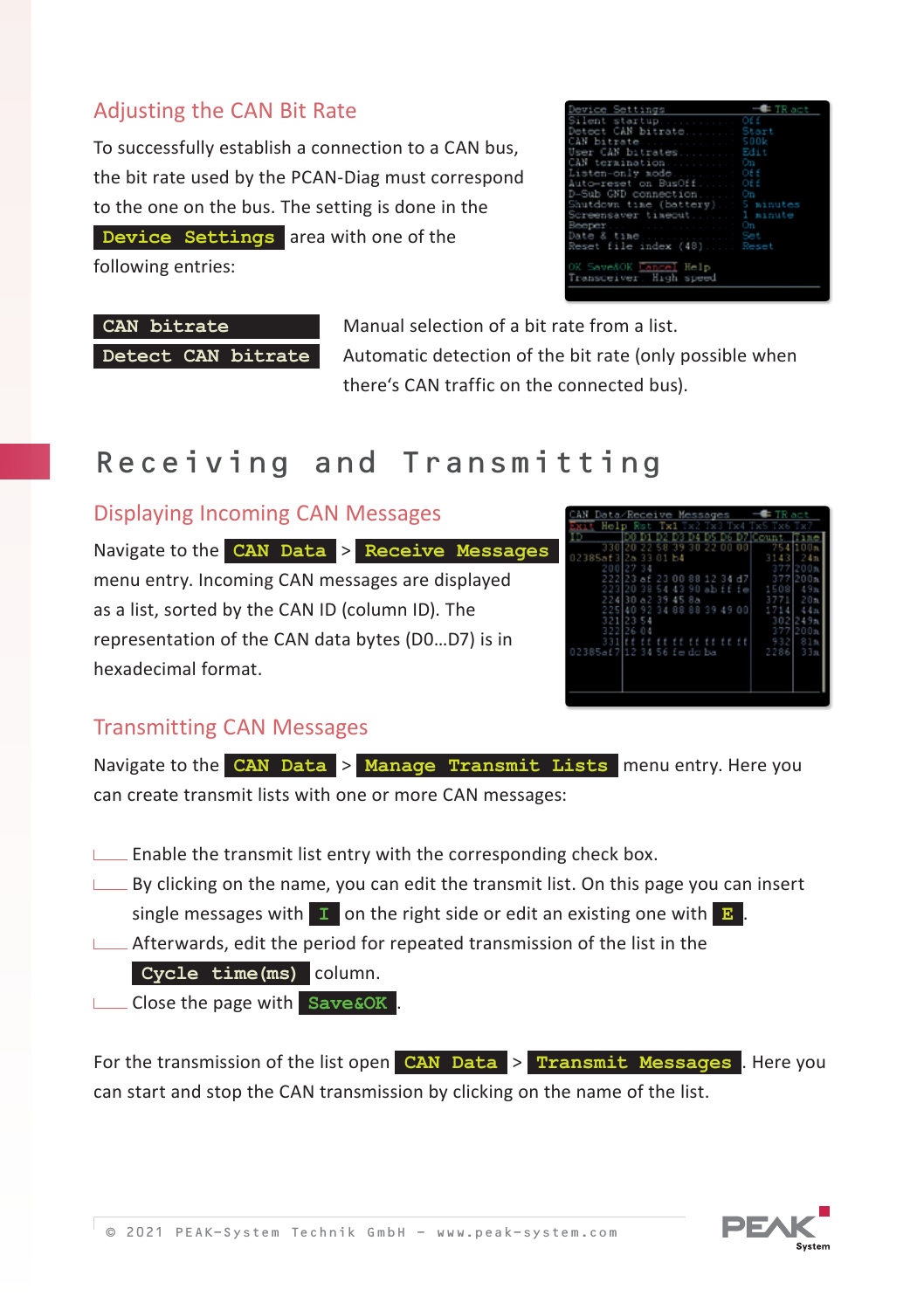### Adjusting the CAN Bit Rate

To successfully establish a connection to a CAN bus, the bit rate used by the PCAN-Diag must correspond to the one on the bus. The setting is done in the **Device Settings** area with one of the following entries:

| Device Settings                                   | $-$ TR act |
|---------------------------------------------------|------------|
| Silent startup Off                                |            |
| Detect CAN bitrate Start                          |            |
| CAN bitrate 500k                                  |            |
| User CAN bitrates Edit                            |            |
| CAN termination On                                |            |
| Listen-only mode Off                              |            |
| Auto-reset on BusOff Off                          |            |
| D-Sub GND connection On                           |            |
| Shutdown time (battery) 5 minutes                 |            |
| Screensaver timeout 1 minute                      |            |
| BeeperOn                                          |            |
|                                                   |            |
| Reset file index (48) Reset                       |            |
| OK Save&OK Cancel Help<br>Transceiver. High speed |            |

**CAN bitrate** Manual selection of a bit rate from a list. **Detect CAN bitrate** Automatic detection of the bit rate (only possible when there's CAN traffic on the connected bus).

# Receiving and Transmitting

#### Displaying Incoming CAN Messages

Navigate to the **CAN Data** > **Receive Messages** menu entry. Incoming CAN messages are displayed as a list, sorted by the CAN ID (column ID). The representation of the CAN data bytes (D0…D7) is in hexadecimal format.

|                      |               | Data/Receive Messages |       |           | <b>Ballanda</b> |          |
|----------------------|---------------|-----------------------|-------|-----------|-----------------|----------|
| Hel                  | <b>Realty</b> | Tx1 .x2               | -Tar  |           |                 |          |
|                      |               |                       |       |           |                 |          |
| 330120               |               | 39<br>58              | 30.22 | 00 00     | 75<br>÷         | ı<br>00n |
| 02385af3 2a 33 01 b4 |               |                       |       |           | 31<br>a         | 2<br>4 n |
|                      | 200 27 34     |                       |       |           | 37              |          |
|                      |               | 222 23 af 23 00 88    |       | 12 34 47  | 377             | 200n     |
|                      | 223 20 38     | 54<br>43              |       | 90 abifie | R<br>1          | ۰<br>9n  |
|                      | 224 30 a2     | 39<br>45 8a           |       |           | я               | 20n      |
| 225 40               |               | 92 34 88 88 39 49 00  |       |           |                 | 4 11     |
|                      | 321 23 54     |                       |       |           | 302             | 24<br>9n |
|                      | 322 26 04     |                       |       |           | 7<br>۰<br>R     | 200n     |
| 331                  |               |                       |       |           | 9<br>32         | 31n      |
| 02385af7 1234        |               | 56 fedcba             |       |           | 2286            | 33n      |
|                      |               |                       |       |           |                 |          |
|                      |               |                       |       |           |                 |          |
|                      |               |                       |       |           |                 |          |
|                      |               |                       |       |           |                 |          |
|                      |               |                       |       |           |                 |          |

### Transmitting CAN Messages

Navigate to the **CAN Data** > **Manage Transmit Lists** menu entry. Here you can create transmit lists with one or more CAN messages:

- $L$  Enable the transmit list entry with the corresponding check box.
- $\Box$  By clicking on the name, you can edit the transmit list. On this page you can insert single messages with  $\mathbf{I}$  on the right side or edit an existing one with  $\mathbf{B}$ .
- $\Box$  Afterwards, edit the period for repeated transmission of the list in the **Cycle time(ms)** column.
- Close the page with **Save&OK** .

For the transmission of the list open **CAN Data** > **Transmit Messages** . Here you can start and stop the CAN transmission by clicking on the name of the list.